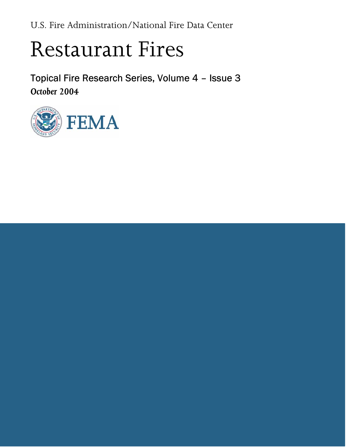<span id="page-0-0"></span>U.S. Fire Administration/National Fire Data Center

# Restaurant Fires

Topical Fire Research Series, Volume 4 – Issue 3 October 2004

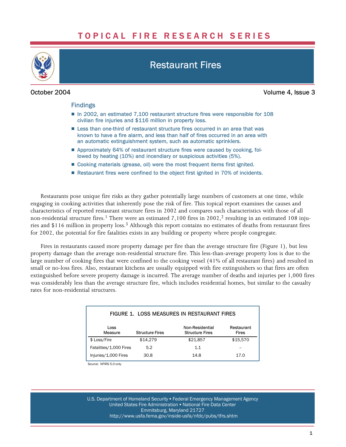# TOPICAL FIRE RESEARCH SERIES

<span id="page-1-0"></span>

## Restaurant Fires

October 2004 Volume 4, Issue 3

#### Findings

- In 2002, an estimated 7,100 restaurant structure fires were responsible for 108 civilian fire injuries and \$116 million in property loss.
- Less than one-third of restaurant structure fires occurred in an area that was known to have a fire alarm, and less than half of fires occurred in an area with an automatic extinguishment system, such as automatic sprinklers.
- Approximately 64% of restaurant structure fires were caused by cooking, followed by heating (10%) and incendiary or suspicious activities (5%).
- Cooking materials (grease, oil) were the most frequent items first ignited.
- Restaurant fires were confined to the object first ignited in 70% of incidents.

Restaurants pose unique fire risks as they gather potentially large numbers of customers at one time, while engaging in cooking activities that inherently pose the risk of fire. This topical report examines the causes and characteristics of reported restaurant structure fires in 2002 and compares such characteristics with those of all non-residential structure fires.<sup>1</sup> There were an estimated 7,100 fires in 2002,<sup>2</sup> resulting in an estimated 108 injuries and \$116 million in property loss.3 Although this report contains no estimates of deaths from restaurant fires for 2002, the potential for fire fatalities exists in any building or property where people congregate.

Fires in restaurants caused more property damage per fire than the average structure fire (Figure 1), but less property damage than the average non−residential structure fire. This less−than−average property loss is due to the large number of cooking fires that were confined to the cooking vessel (41% of all restaurant fires) and resulted in small or no-loss fires. Also, restaurant kitchens are usually equipped with fire extinguishers so that fires are often extinguished before severe property damage is incurred. The average number of deaths and injuries per 1,000 fires was considerably less than the average structure fire, which includes residential homes, but similar to the casualty rates for non−residential structures.

| FIGURE 1. LOSS MEASURES IN RESTAURANT FIRES |                        |                                           |                     |  |
|---------------------------------------------|------------------------|-------------------------------------------|---------------------|--|
| Loss<br>Measure                             | <b>Structure Fires</b> | Non-Residential<br><b>Structure Fires</b> | Restaurant<br>Fires |  |
| \$ Loss/Fire                                | \$14.279               | \$21,857                                  | \$15,570            |  |
| Fatalities/1,000 Fires                      | 5.2                    | 1.1                                       |                     |  |
| Injuries/1,000 Fires                        | 30.8                   | 14.8                                      | 17.0                |  |

Source: NFIRS 5.0 only

U.S. Department of Homeland Security • Federal Emergency Management Agency United States Fire Administration . National Fire Data Center Emmitsburg, Maryland 21727 [http://www.usfa.fema.gov/inside−usfa/nfdc/pubs/tfrs.shtm](http://www.usfa.fema.gov/inside%E2%88%92usfa/nfdc/pubs/tfrs.shtm)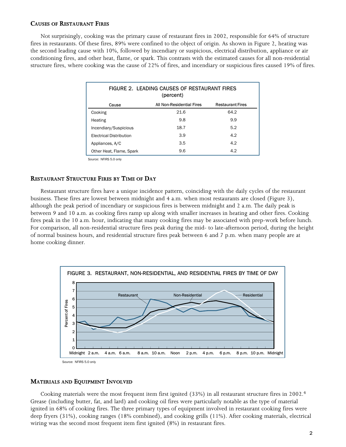#### CAUSES OF RESTAURANT FIRES

Not surprisingly, cooking was the primary cause of restaurant fires in 2002, responsible for 64% of structure fires in restaurants. Of these fires, 89% were confined to the object of origin. As shown in Figure 2, heating was the second leading cause with 10%, followed by incendiary or suspicious, electrical distribution, appliance or air conditioning fires, and other heat, flame, or spark. This contrasts with the estimated causes for all non−residential structure fires, where cooking was the cause of 22% of fires, and incendiary or suspicious fires caused 19% of fires.

| FIGURE 2. LEADING CAUSES OF RESTAURANT FIRES<br>(percent) |                           |                         |  |  |
|-----------------------------------------------------------|---------------------------|-------------------------|--|--|
| Cause                                                     | All Non-Residential Fires | <b>Restaurant Fires</b> |  |  |
| Cooking                                                   | 21.6                      | 64.2                    |  |  |
| Heating                                                   | 9.8                       | 9.9                     |  |  |
| Incendiary/Suspicious                                     | 18.7                      | 5.2                     |  |  |
| <b>Electrical Distribution</b>                            | 3.9                       | 4.2                     |  |  |
| Appliances, A/C                                           | 3.5                       | 4.2                     |  |  |
| Other Heat, Flame, Spark                                  | 9.6                       | 4.2                     |  |  |

Source: NFIRS 5.0 only

#### RESTAURANT STRUCTURE FIRES BY TIME OF DAY

Restaurant structure fires have a unique incidence pattern, coinciding with the daily cycles of the restaurant business. These fires are lowest between midnight and 4 a.m. when most restaurants are closed (Figure 3), although the peak period of incendiary or suspicious fires is between midnight and 2 a.m. The daily peak is between 9 and 10 a.m. as cooking fires ramp up along with smaller increases in heating and other fires. Cooking fires peak in the 10 a.m. hour, indicating that many cooking fires may be associated with prep−work before lunch. For comparison, all non−residential structure fires peak during the mid− to late−afternoon period, during the height of normal business hours, and residential structure fires peak between 6 and 7 p.m. when many people are at home cooking dinner.



#### MATERIALS AND EQUIPMENT INVOLVED

Cooking materials were the most frequent item first ignited (33%) in all restaurant structure fires in 2002.4 Grease (including butter, fat, and lard) and cooking oil fires were particularly notable as the type of material ignited in 68% of cooking fires. The three primary types of equipment involved in restaurant cooking fires were deep fryers (31%), cooking ranges (18% combined), and cooking grills (11%). After cooking materials, electrical wiring was the second most frequent item first ignited (8%) in restaurant fires.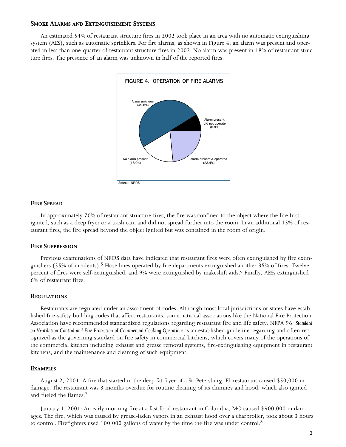#### SMOKE ALARMS AND EXTINGUISHMENT SYSTEMS

An estimated 54% of restaurant structure fires in 2002 took place in an area with no automatic extinguishing system (AES), such as automatic sprinklers. For fire alarms, as shown in Figure 4, an alarm was present and operated in less than one−quarter of restaurant structure fires in 2002. No alarm was present in 18% of restaurant structure fires. The presence of an alarm was unknown in half of the reported fires.



#### FIRE SPREAD

In approximately 70% of restaurant structure fires, the fire was confined to the object where the fire first ignited, such as a deep fryer or a trash can, and did not spread further into the room. In an additional 15% of restaurant fires, the fire spread beyond the object ignited but was contained in the room of origin.

#### FIRE SUPPRESSION

Previous examinations of NFIRS data have indicated that restaurant fires were often extinguished by fire extinguishers (35% of incidents).5 Hose lines operated by fire departments extinguished another 35% of fires. Twelve percent of fires were self-extinguished, and 9% were extinguished by makeshift aids.<sup>6</sup> Finally, AESs extinguished 6% of restaurant fires.

#### **REGULATIONS**

Restaurants are regulated under an assortment of codes. Although most local jurisdictions or states have established fire−safety building codes that affect restaurants, some national associations like the National Fire Protection Association have recommended standardized regulations regarding restaurant fire and life safety. NFPA 96: Standard on Ventilation Control and Fire Protection of Commercial Cooking Operations is an established guideline regarding and often recognized as the governing standard on fire safety in commercial kitchens, which covers many of the operations of the commercial kitchen including exhaust and grease removal systems, fire−extinguishing equipment in restaurant kitchens, and the maintenance and cleaning of such equipment.

#### **EXAMPLES**

August 2, 2001: A fire that started in the deep fat fryer of a St. Petersburg, FL restaurant caused \$50,000 in damage. The restaurant was 3 months overdue for routine cleaning of its chimney and hood, which also ignited and fueled the flames.7

January 1, 2001: An early morning fire at a fast food restaurant in Columbia, MO caused \$900,000 in damages. The fire, which was caused by grease−laden vapors in an exhaust hood over a charbroiler, took about 3 hours to control. Firefighters used  $100,000$  gallons of water by the time the fire was under control.<sup>8</sup>